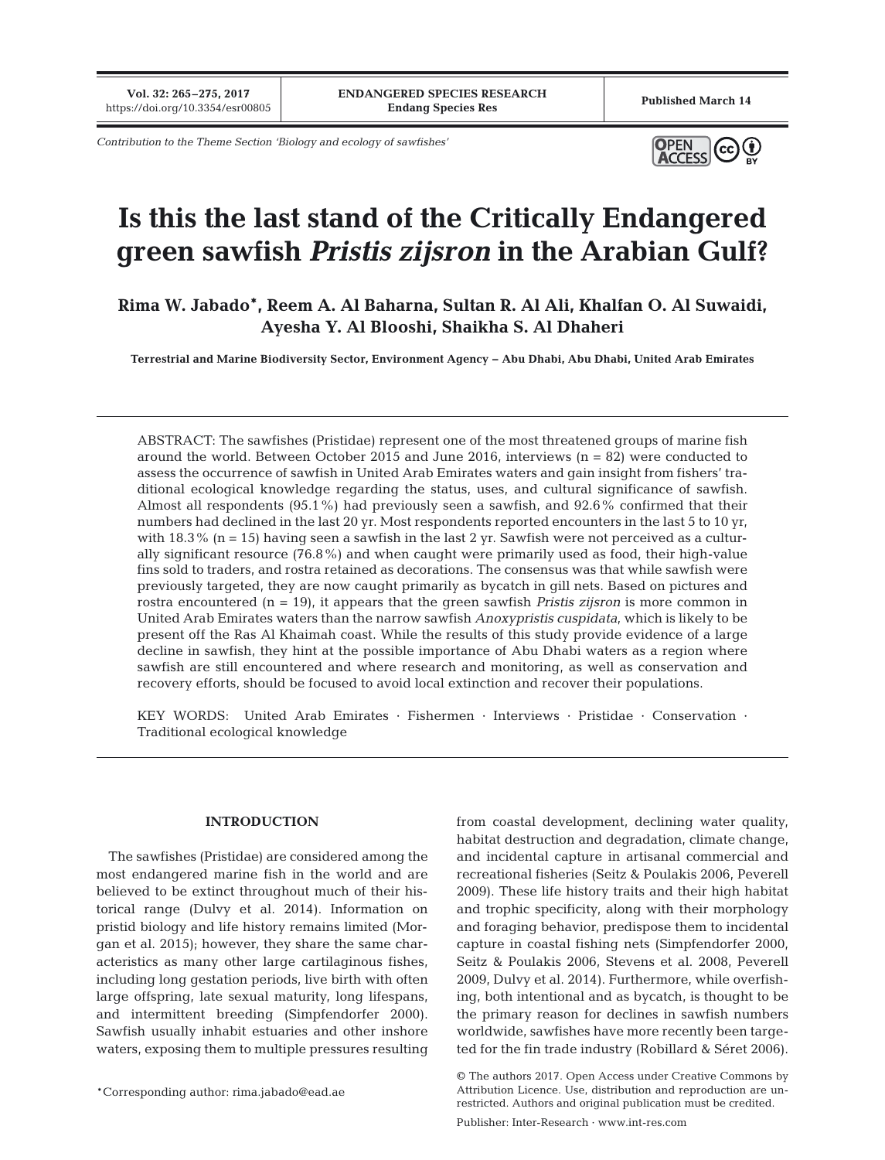**Vol. 32: 265–275, 2017**

*Contribution to the Theme Section 'Biology and ecology of sawfishes'*



# **Is this the last stand of the Critically Endangered green sawfish** *Pristis zijsron* **in the Arabian Gulf?**

**Rima W. Jabado\*, Reem A. Al Baharna, Sultan R. Al Ali, Khalfan O. Al Suwaidi, Ayesha Y. Al Blooshi, Shaikha S. Al Dhaheri**

**Terrestrial and Marine Biodiversity Sector, Environment Agency − Abu Dhabi, Abu Dhabi, United Arab Emirates**

ABSTRACT: The sawfishes (Pristidae) represent one of the most threatened groups of marine fish around the world. Between October 2015 and June 2016, interviews  $(n = 82)$  were conducted to assess the occurrence of sawfish in United Arab Emirates waters and gain insight from fishers' traditional ecological knowledge regarding the status, uses, and cultural significance of sawfish. Almost all respondents (95.1%) had previously seen a sawfish, and 92.6% confirmed that their numbers had declined in the last 20 yr. Most respondents reported encounters in the last 5 to 10 yr, with  $18.3\%$  (n = 15) having seen a sawfish in the last 2 yr. Sawfish were not perceived as a culturally significant resource (76.8%) and when caught were primarily used as food, their high-value fins sold to traders, and rostra retained as decorations. The consensus was that while sawfish were previously targeted, they are now caught primarily as bycatch in gill nets. Based on pictures and rostra encountered (n = 19), it appears that the green sawfish *Pristis zijsron* is more common in United Arab Emirates waters than the narrow sawfish *Anoxypristis cuspidata*, which is likely to be present off the Ras Al Khaimah coast. While the results of this study provide evidence of a large decline in sawfish, they hint at the possible importance of Abu Dhabi waters as a region where sawfish are still encountered and where research and monitoring, as well as conservation and recovery efforts, should be focused to avoid local extinction and recover their populations.

KEY WORDS: United Arab Emirates · Fishermen · Interviews · Pristidae · Conservation · Traditional ecological knowledge

## **INTRODUCTION**

The sawfishes (Pristidae) are considered among the most endangered marine fish in the world and are believed to be extinct throughout much of their historical range (Dulvy et al. 2014). Information on pristid biology and life history remains limited (Morgan et al. 2015); however, they share the same characteristics as many other large cartilaginous fishes, including long gestation periods, live birth with often large offspring, late sexual maturity, long lifespans, and intermittent breeding (Simpfendorfer 2000). Sawfish usually inhabit estuaries and other inshore waters, exposing them to multiple pressures resulting

\*Corresponding author: rima.jabado@ead.ae

from coastal development, declining water quality, habitat destruction and degradation, climate change, and incidental capture in artisanal commercial and recreational fisheries (Seitz & Poulakis 2006, Peverell 2009). These life history traits and their high habitat and trophic specificity, along with their morphology and foraging behavior, predispose them to incidental capture in coastal fishing nets (Simpfendorfer 2000, Seitz & Poulakis 2006, Stevens et al. 2008, Peverell 2009, Dulvy et al. 2014). Furthermore, while overfishing, both intentional and as bycatch, is thought to be the primary reason for declines in sawfish numbers worldwide, sawfishes have more recently been targeted for the fin trade industry (Robillard & Séret 2006).

<sup>©</sup> The authors 2017. Open Access under Creative Commons by Attribution Licence. Use, distribution and reproduction are unrestricted. Authors and original publication must be credited.

Publisher: Inter-Research · www.int-res.com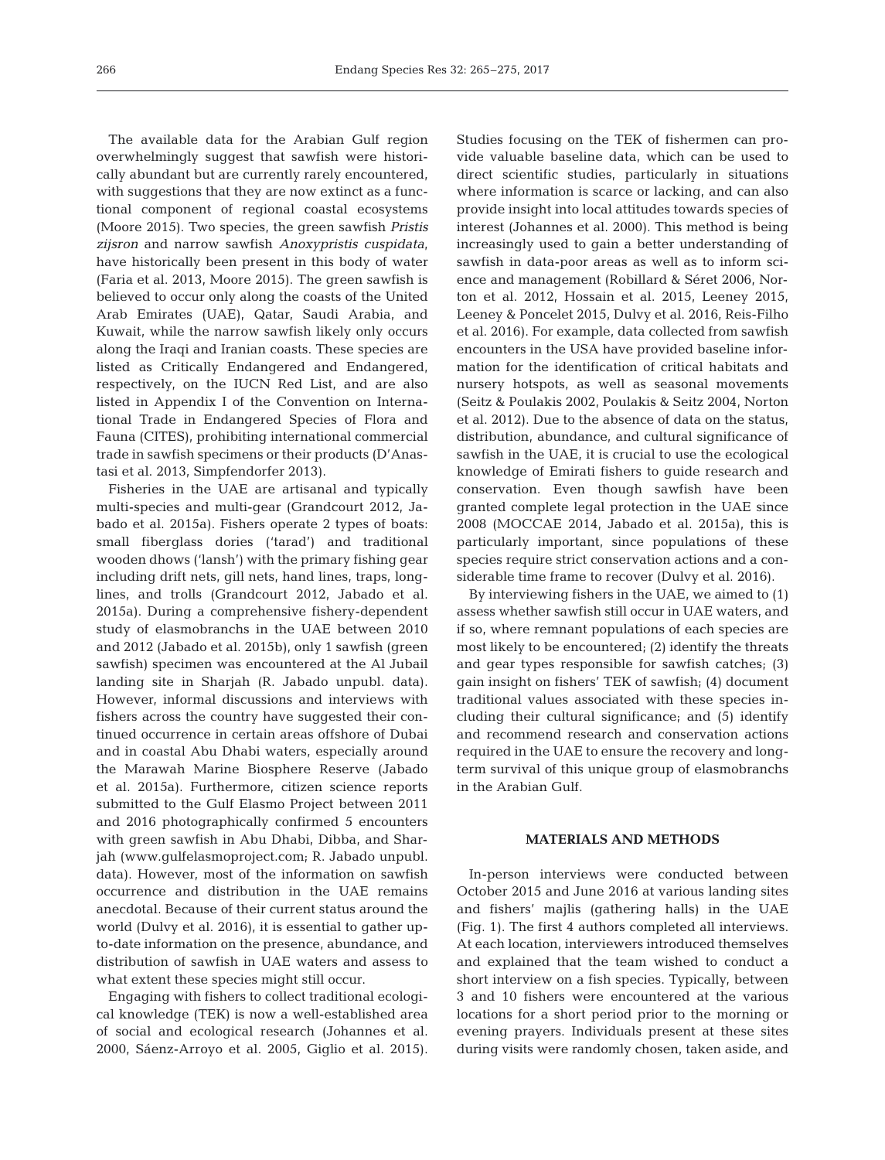The available data for the Arabian Gulf region overwhelmingly suggest that sawfish were historically abundant but are currently rarely encountered, with suggestions that they are now extinct as a functional component of regional coastal ecosystems (Moore 2015). Two species, the green sawfish *Pristis zijsron* and narrow sawfish *Anoxypristis cuspidata*, have historically been present in this body of water (Faria et al. 2013, Moore 2015). The green sawfish is believed to occur only along the coasts of the United Arab Emirates (UAE), Qatar, Saudi Arabia, and Kuwait, while the narrow sawfish likely only occurs along the Iraqi and Iranian coasts. These species are listed as Critically Endangered and Endangered, respectively, on the IUCN Red List, and are also listed in Appendix I of the Convention on International Trade in Endangered Species of Flora and Fauna (CITES), prohibiting international commercial trade in sawfish specimens or their products (D'Anastasi et al. 2013, Simpfendorfer 2013).

Fisheries in the UAE are artisanal and typically multi-species and multi-gear (Grandcourt 2012, Jabado et al. 2015a). Fishers operate 2 types of boats: small fiberglass dories ('tarad') and traditional wooden dhows ('lansh') with the primary fishing gear including drift nets, gill nets, hand lines, traps, longlines, and trolls (Grandcourt 2012, Jabado et al. 2015a). During a comprehensive fishery-dependent study of elasmobranchs in the UAE between 2010 and 2012 (Jabado et al. 2015b), only 1 sawfish (green sawfish) specimen was encountered at the Al Jubail landing site in Sharjah (R. Jabado unpubl. data). However, informal discussions and interviews with fishers across the country have suggested their continued occurrence in certain areas offshore of Dubai and in coastal Abu Dhabi waters, especially around the Marawah Marine Biosphere Reserve (Jabado et al. 2015a). Furthermore, citizen science reports submitted to the Gulf Elasmo Project between 2011 and 2016 photographically confirmed 5 encounters with green sawfish in Abu Dhabi, Dibba, and Sharjah (www. gulfelasmoproject. com; R. Jabado unpubl. data). However, most of the information on sawfish occurrence and distribution in the UAE remains anecdotal. Because of their current status around the world (Dulvy et al. 2016), it is essential to gather upto-date information on the presence, abundance, and distribution of sawfish in UAE waters and assess to what extent these species might still occur.

Engaging with fishers to collect traditional ecological knowledge (TEK) is now a well-established area of social and ecological research (Johannes et al. 2000, Sáenz-Arroyo et al. 2005, Giglio et al. 2015). Studies focusing on the TEK of fishermen can provide valuable baseline data, which can be used to direct scientific studies, particularly in situations where information is scarce or lacking, and can also provide insight into local attitudes towards species of interest (Johannes et al. 2000). This method is being increasingly used to gain a better understanding of sawfish in data-poor areas as well as to inform science and management (Robillard & Séret 2006, Norton et al. 2012, Hossain et al. 2015, Leeney 2015, Leeney & Poncelet 2015, Dulvy et al. 2016, Reis-Filho et al. 2016). For example, data collected from sawfish encounters in the USA have provided baseline information for the identification of critical habitats and nursery hotspots, as well as seasonal movements (Seitz & Poulakis 2002, Poulakis & Seitz 2004, Norton et al. 2012). Due to the absence of data on the status, distribution, abundance, and cultural significance of sawfish in the UAE, it is crucial to use the ecological knowledge of Emirati fishers to guide research and conservation. Even though sawfish have been granted complete legal protection in the UAE since 2008 (MOCCAE 2014, Jabado et al. 2015a), this is particularly important, since populations of these species require strict conservation actions and a considerable time frame to recover (Dulvy et al. 2016).

By interviewing fishers in the UAE, we aimed to (1) assess whether sawfish still occur in UAE waters, and if so, where remnant populations of each species are most likely to be encountered; (2) identify the threats and gear types responsible for sawfish catches; (3) gain insight on fishers' TEK of sawfish; (4) document traditional values associated with these species in cluding their cultural significance; and (5) identify and recommend research and conservation actions required in the UAE to ensure the recovery and longterm survival of this unique group of elasmobranchs in the Arabian Gulf.

## **MATERIALS AND METHODS**

In-person interviews were conducted between October 2015 and June 2016 at various landing sites and fishers' majlis (gathering halls) in the UAE (Fig. 1). The first 4 authors completed all interviews. At each location, interviewers introduced themselves and explained that the team wished to conduct a short interview on a fish species. Typically, between 3 and 10 fishers were encountered at the various locations for a short period prior to the morning or evening prayers. Individuals present at these sites during visits were randomly chosen, taken aside, and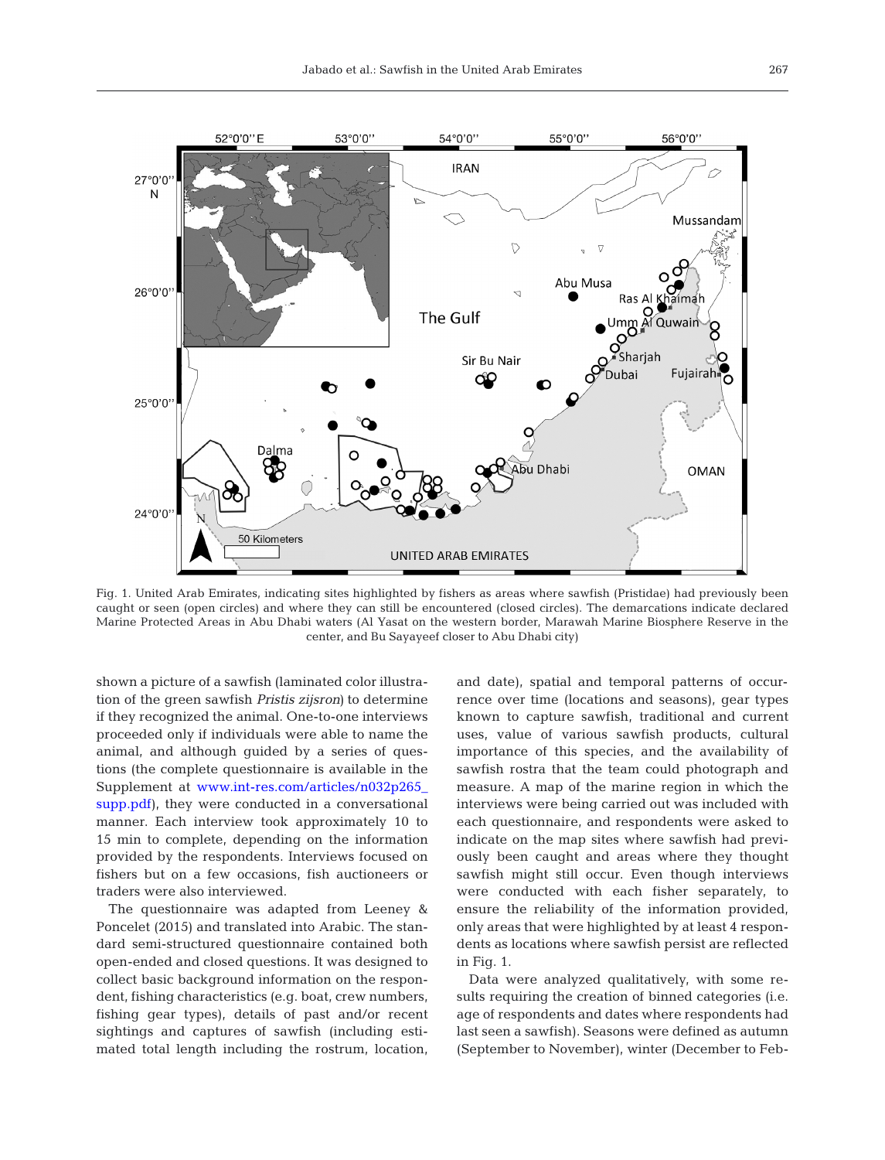

Fig. 1. United Arab Emirates, indicating sites highlighted by fishers as areas where sawfish (Pristidae) had previously been caught or seen (open circles) and where they can still be encountered (closed circles). The demarcations indicate declared Marine Protected Areas in Abu Dhabi waters (Al Yasat on the western border, Marawah Marine Biosphere Reserve in the center, and Bu Sayayeef closer to Abu Dhabi city)

shown a picture of a sawfish (laminated color illustration of the green sawfish *Pristis zijsron)* to determine if they recognized the animal. One-to-one interviews proceeded only if individuals were able to name the animal, and although guided by a series of questions (the complete questionnaire is available in the Supplement at www.int-res.com/articles/n032p265 [supp. pdf\)](http://www.int-res.com/articles/suppl/n032p265_supp.pdf), they were conducted in a conversational manner. Each interview took approximately 10 to 15 min to complete, depending on the information provided by the respondents. Interviews focused on fishers but on a few occasions, fish auctioneers or traders were also interviewed.

The questionnaire was adapted from Leeney & Poncelet (2015) and translated into Arabic. The standard semi-structured questionnaire contained both open-ended and closed questions. It was designed to collect basic background information on the respondent, fishing characteristics (e.g. boat, crew numbers, fishing gear types), details of past and/or recent sightings and captures of sawfish (including estimated total length including the rostrum, location,

and date), spatial and temporal patterns of occurrence over time (locations and seasons), gear types known to capture sawfish, traditional and current uses, value of various sawfish products, cultural importance of this species, and the availability of sawfish rostra that the team could photograph and measure. A map of the marine region in which the interviews were being carried out was included with each questionnaire, and respondents were asked to indicate on the map sites where sawfish had previously been caught and areas where they thought sawfish might still occur. Even though interviews were conducted with each fisher separately, to ensure the reliability of the information provided, only areas that were highlighted by at least 4 respondents as locations where sawfish persist are reflected in Fig. 1.

Data were analyzed qualitatively, with some results requiring the creation of binned categories (i.e. age of respondents and dates where respondents had last seen a sawfish). Seasons were defined as autumn (September to November), winter (December to Feb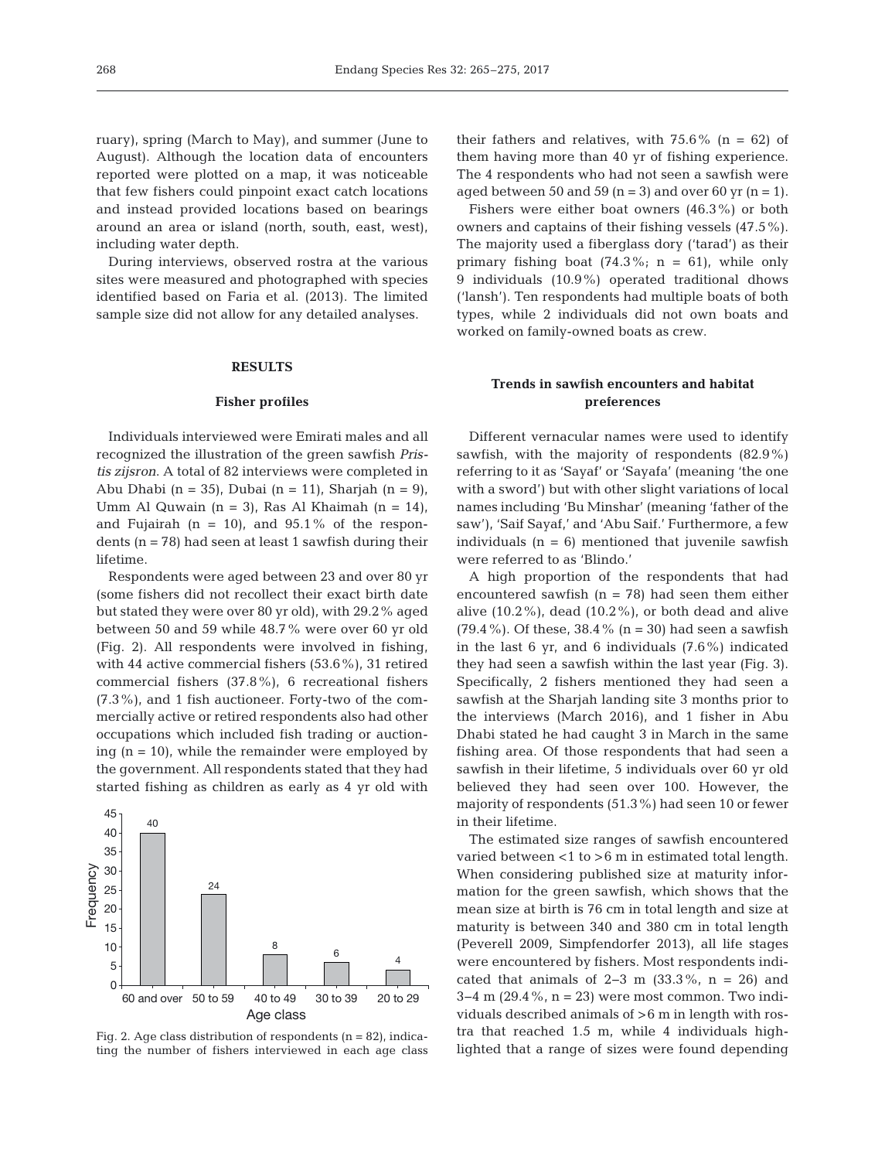ruary), spring (March to May), and summer (June to August). Although the location data of encounters reported were plotted on a map, it was noticeable that few fishers could pinpoint exact catch locations and instead provided locations based on bearings around an area or island (north, south, east, west), including water depth.

During interviews, observed rostra at the various sites were measured and photographed with species identified based on Faria et al. (2013). The limited sample size did not allow for any detailed analyses.

## **RESULTS**

#### **Fisher profiles**

Individuals interviewed were Emirati males and all recognized the illustration of the green sawfish *Pristis zijsron*. A total of 82 interviews were completed in Abu Dhabi (n = 35), Dubai (n = 11), Sharjah (n = 9), Umm Al Quwain (n = 3), Ras Al Khaimah (n = 14), and Fujairah ( $n = 10$ ), and  $95.1\%$  of the respondents  $(n = 78)$  had seen at least 1 sawfish during their lifetime.

Respondents were aged between 23 and over 80 yr (some fishers did not recollect their exact birth date but stated they were over 80 yr old), with 29.2% aged between 50 and 59 while 48.7% were over 60 yr old (Fig. 2). All respondents were involved in fishing, with 44 active commercial fishers (53.6%), 31 retired commercial fishers (37.8%), 6 recreational fishers (7.3%), and 1 fish auctioneer. Forty-two of the commercially active or retired respondents also had other occupations which included fish trading or auctioning  $(n = 10)$ , while the remainder were employed by the government. All respondents stated that they had started fishing as children as early as 4 yr old with



Fig. 2. Age class distribution of respondents  $(n = 82)$ , indicating the number of fishers interviewed in each age class

their fathers and relatives, with  $75.6\%$  (n = 62) of them having more than 40 yr of fishing experience. The 4 respondents who had not seen a sawfish were aged between 50 and 59 ( $n = 3$ ) and over 60 yr ( $n = 1$ ).

Fishers were either boat owners (46.3%) or both owners and captains of their fishing vessels (47.5%). The majority used a fiberglass dory ('tarad') as their primary fishing boat  $(74.3\%; n = 61)$ , while only 9 individuals (10.9%) operated traditional dhows ('lansh'). Ten respondents had multiple boats of both types, while 2 individuals did not own boats and worked on family-owned boats as crew.

## **Trends in sawfish encounters and habitat preferences**

Different vernacular names were used to identify sawfish, with the majority of respondents (82.9%) referring to it as 'Sayaf' or 'Sayafa' (meaning 'the one with a sword') but with other slight variations of local names including 'Bu Minshar' (meaning 'father of the saw'), 'Saif Sayaf,' and 'Abu Saif.' Furthermore, a few individuals  $(n = 6)$  mentioned that juvenile sawfish were referred to as 'Blindo.'

A high proportion of the respondents that had encountered sawfish  $(n = 78)$  had seen them either alive  $(10.2\%)$ , dead  $(10.2\%)$ , or both dead and alive  $(79.4\%)$ . Of these, 38.4% (n = 30) had seen a sawfish in the last 6 yr, and 6 individuals (7.6%) indicated they had seen a sawfish within the last year (Fig. 3). Specifically, 2 fishers mentioned they had seen a sawfish at the Sharjah landing site 3 months prior to the interviews (March 2016), and 1 fisher in Abu Dhabi stated he had caught 3 in March in the same fishing area. Of those respondents that had seen a sawfish in their lifetime, 5 individuals over 60 yr old believed they had seen over 100. However, the majority of respondents (51.3%) had seen 10 or fewer in their lifetime.

The estimated size ranges of sawfish encountered varied between <1 to >6 m in estimated total length. When considering published size at maturity information for the green sawfish, which shows that the mean size at birth is 76 cm in total length and size at maturity is between 340 and 380 cm in total length (Peverell 2009, Simpfendorfer 2013), all life stages were encountered by fishers. Most respondents indicated that animals of 2–3 m  $(33.3\% , n = 26)$  and 3−4 m (29.4%, n = 23) were most common. Two individuals described animals of >6 m in length with rostra that reached 1.5 m, while 4 individuals highlighted that a range of sizes were found depending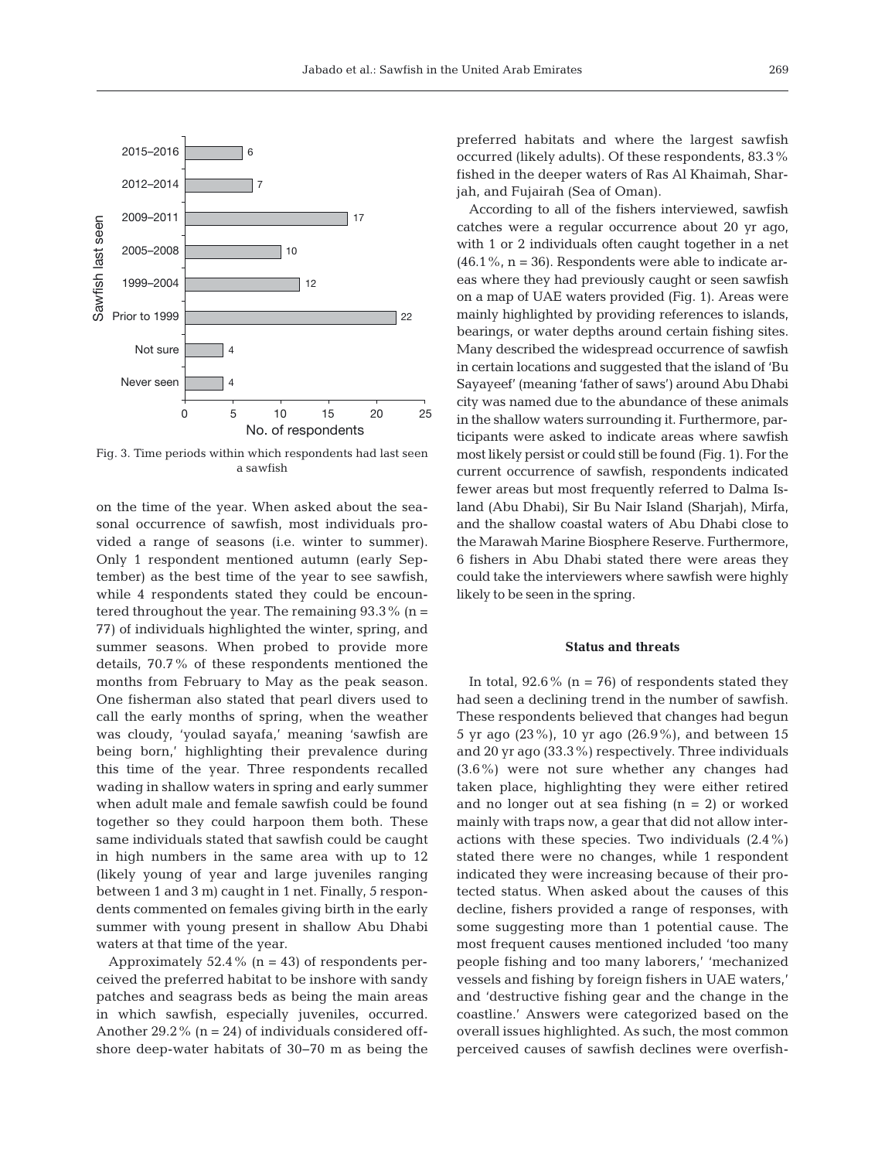

Fig. 3. Time periods within which respondents had last seen a sawfish

on the time of the year. When asked about the seasonal occurrence of sawfish, most individuals provided a range of seasons (i.e. winter to summer). Only 1 respondent mentioned autumn (early September) as the best time of the year to see sawfish, while 4 respondents stated they could be encountered throughout the year. The remaining  $93.3\%$  (n = 77) of individuals highlighted the winter, spring, and summer seasons. When probed to provide more details, 70.7% of these respondents mentioned the months from February to May as the peak season. One fisherman also stated that pearl divers used to call the early months of spring, when the weather was cloudy, 'youlad sayafa,' meaning 'sawfish are being born,' highlighting their prevalence during this time of the year. Three respondents recalled wading in shallow waters in spring and early summer when adult male and female sawfish could be found together so they could harpoon them both. These same individuals stated that sawfish could be caught in high numbers in the same area with up to 12 (likely young of year and large juveniles ranging between 1 and 3 m) caught in 1 net. Finally, 5 respondents commented on females giving birth in the early summer with young present in shallow Abu Dhabi waters at that time of the year.

Approximately 52.4% ( $n = 43$ ) of respondents perceived the preferred habitat to be inshore with sandy patches and seagrass beds as being the main areas in which sawfish, especially juveniles, occurred. Another 29.2% ( $n = 24$ ) of individuals considered offshore deep-water habitats of 30−70 m as being the

preferred habitats and where the largest sawfish occurred (likely adults). Of these respondents, 83.3% fished in the deeper waters of Ras Al Khaimah, Sharjah, and Fujairah (Sea of Oman).

According to all of the fishers interviewed, sawfish catches were a regular occurrence about 20 yr ago, with 1 or 2 individuals often caught together in a net  $(46.1\%, n = 36)$ . Respondents were able to indicate areas where they had previously caught or seen sawfish on a map of UAE waters provided (Fig. 1). Areas were mainly highlighted by providing references to islands, bearings, or water depths around certain fishing sites. Many described the widespread occurrence of sawfish in certain locations and suggested that the island of 'Bu Sayayeef' (meaning 'father of saws') around Abu Dhabi city was named due to the abundance of these animals in the shallow waters surrounding it. Furthermore, participants were asked to indicate areas where sawfish most likely persist or could still be found (Fig. 1). For the current occurrence of sawfish, respondents indicated fewer areas but most frequently referred to Dalma Island (Abu Dhabi), Sir Bu Nair Island (Sharjah), Mirfa, and the shallow coastal waters of Abu Dhabi close to the Marawah Marine Biosphere Reserve. Furthermore, 6 fishers in Abu Dhabi stated there were areas they could take the interviewers where sawfish were highly likely to be seen in the spring.

#### **Status and threats**

In total,  $92.6\%$  (n = 76) of respondents stated they had seen a declining trend in the number of sawfish. These respondents believed that changes had begun 5 yr ago (23%), 10 yr ago (26.9%), and between 15 and 20 yr ago (33.3%) respectively. Three individuals (3.6%) were not sure whether any changes had taken place, highlighting they were either retired and no longer out at sea fishing  $(n = 2)$  or worked mainly with traps now, a gear that did not allow interactions with these species. Two individuals (2.4%) stated there were no changes, while 1 respondent indicated they were increasing because of their protected status. When asked about the causes of this decline, fishers provided a range of responses, with some suggesting more than 1 potential cause. The most frequent causes mentioned included 'too many people fishing and too many laborers,' 'mechanized vessels and fishing by foreign fishers in UAE waters,' and 'destructive fishing gear and the change in the coastline.' Answers were categorized based on the overall issues highlighted. As such, the most common perceived causes of sawfish declines were overfish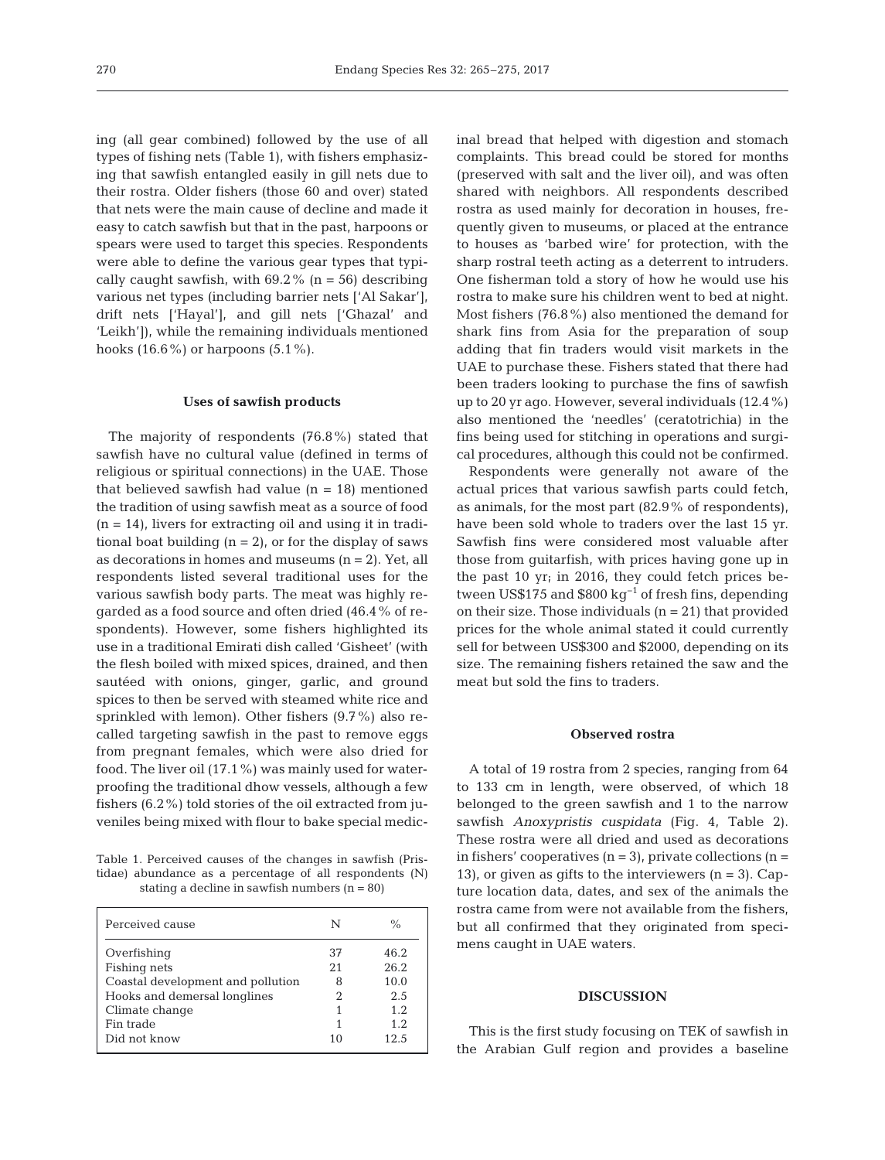ing (all gear combined) followed by the use of all types of fishing nets (Table 1), with fishers emphasizing that sawfish entangled easily in gill nets due to their rostra. Older fishers (those 60 and over) stated that nets were the main cause of decline and made it easy to catch sawfish but that in the past, harpoons or spears were used to target this species. Respondents were able to define the various gear types that typically caught sawfish, with  $69.2\%$  (n = 56) describing various net types (including barrier nets ['Al Sakar'], drift nets ['Hayal'], and gill nets ['Ghazal' and 'Leikh']), while the remaining individuals mentioned hooks  $(16.6\%)$  or harpoons  $(5.1\%)$ .

#### **Uses of sawfish products**

The majority of respondents (76.8%) stated that sawfish have no cultural value (defined in terms of religious or spiritual connections) in the UAE. Those that believed sawfish had value  $(n = 18)$  mentioned the tradition of using sawfish meat as a source of food  $(n = 14)$ , livers for extracting oil and using it in traditional boat building  $(n = 2)$ , or for the display of saws as decorations in homes and museums  $(n = 2)$ . Yet, all respondents listed several traditional uses for the various sawfish body parts. The meat was highly re garded as a food source and often dried (46.4% of respondents). However, some fishers highlighted its use in a traditional Emirati dish called 'Gisheet' (with the flesh boiled with mixed spices, drained, and then sautéed with onions, ginger, garlic, and ground spices to then be served with steamed white rice and sprinkled with lemon). Other fishers (9.7%) also recalled targeting sawfish in the past to remove eggs from pregnant females, which were also dried for food. The liver oil (17.1%) was mainly used for waterproofing the traditional dhow vessels, although a few fishers (6.2%) told stories of the oil extracted from juveniles being mixed with flour to bake special medic-

Table 1. Perceived causes of the changes in sawfish (Pris tidae) abundance as a percentage of all respondents (N) stating a decline in sawfish numbers  $(n = 80)$ 

| Perceived cause                   | N   | $\frac{0}{0}$ |
|-----------------------------------|-----|---------------|
| Overfishing                       | 37  | 46.2          |
| Fishing nets                      | 2.1 | 26.2          |
| Coastal development and pollution | 8   | 10.0          |
| Hooks and demersal longlines      | 2   | 2.5           |
| Climate change                    |     | 1.2.          |
| Fin trade                         |     | 1.2.          |
| Did not know                      | 10  | 12.5          |

inal bread that helped with digestion and stomach complaints. This bread could be stored for months (preserved with salt and the liver oil), and was often shared with neighbors. All respondents described rostra as used mainly for decoration in houses, frequently given to museums, or placed at the entrance to houses as 'barbed wire' for protection, with the sharp rostral teeth acting as a deterrent to intruders. One fisherman told a story of how he would use his rostra to make sure his children went to bed at night. Most fishers (76.8%) also mentioned the demand for shark fins from Asia for the preparation of soup adding that fin traders would visit markets in the UAE to purchase these. Fishers stated that there had been traders looking to purchase the fins of sawfish up to 20 yr ago. However, several individuals (12.4%) also mentioned the 'needles' (ceratotrichia) in the fins being used for stitching in operations and surgical procedures, although this could not be confirmed.

Respondents were generally not aware of the actual prices that various sawfish parts could fetch, as animals, for the most part (82.9% of respondents), have been sold whole to traders over the last 15 yr. Sawfish fins were considered most valuable after those from guitarfish, with prices having gone up in the past 10 yr; in 2016, they could fetch prices be tween US\$175 and \$800 kg−1 of fresh fins, depending on their size. Those individuals  $(n = 21)$  that provided prices for the whole animal stated it could currently sell for between US\$300 and \$2000, depending on its size. The remaining fishers retained the saw and the meat but sold the fins to traders.

#### **Observed rostra**

A total of 19 rostra from 2 species, ranging from 64 to 133 cm in length, were observed, of which 18 belonged to the green sawfish and 1 to the narrow sawfish *Anoxypristis cuspidata* (Fig. 4, Table 2). These rostra were all dried and used as decorations in fishers' cooperatives  $(n = 3)$ , private collections  $(n = 1)$ 13), or given as gifts to the interviewers  $(n = 3)$ . Capture location data, dates, and sex of the animals the rostra came from were not available from the fishers, but all confirmed that they originated from specimens caught in UAE waters.

## **DISCUSSION**

This is the first study focusing on TEK of sawfish in the Arabian Gulf region and provides a baseline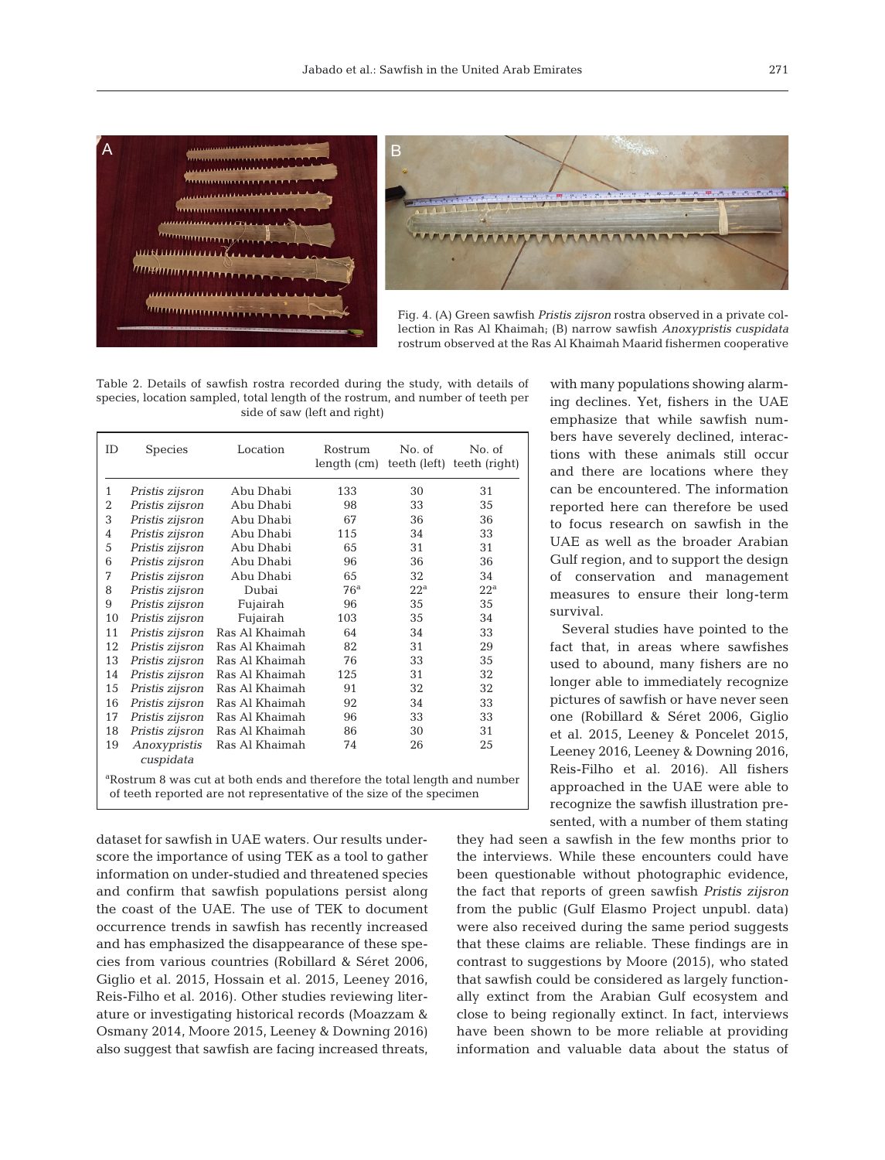



Fig. 4. (A) Green sawfish *Pristis zijsron* rostra observed in a private collection in Ras Al Khaimah; (B) narrow sawfish *Anoxypristis cuspidata* rostrum observed at the Ras Al Khaimah Maarid fishermen cooperative

Table 2. Details of sawfish rostra recorded during the study, with details of species, location sampled, total length of the rostrum, and number of teeth per side of saw (left and right)

| <b>ID</b>                                                                                                                                                     | <b>Species</b>            | Location       | Rostrum<br>length (cm) | No. of       | No. of<br>teeth (left) teeth (right) |  |
|---------------------------------------------------------------------------------------------------------------------------------------------------------------|---------------------------|----------------|------------------------|--------------|--------------------------------------|--|
| 1                                                                                                                                                             | Pristis zijsron           | Abu Dhabi      | 133                    | 30           | 31                                   |  |
| $\overline{2}$                                                                                                                                                | Pristis zijsron           | Abu Dhabi      | 98                     | 33           | 35                                   |  |
| 3                                                                                                                                                             | Pristis zijsron           | Abu Dhabi      | 67                     | 36           | 36                                   |  |
| $\overline{4}$                                                                                                                                                | Pristis zijsron           | Abu Dhabi      | 115                    | 34           | 33                                   |  |
| 5                                                                                                                                                             | Pristis zijsron           | Abu Dhabi      | 65                     | 31           | 31                                   |  |
| 6                                                                                                                                                             | Pristis zijsron           | Abu Dhabi      | 96                     | 36           | 36                                   |  |
| 7                                                                                                                                                             | Pristis zijsron           | Abu Dhabi      | 65                     | 32           | 34                                   |  |
| 8                                                                                                                                                             | Pristis zijsron           | Dubai          | 76 <sup>a</sup>        | $22^{\rm a}$ | $22^{\rm a}$                         |  |
| 9                                                                                                                                                             | Pristis zijsron           | Fujairah       | 96                     | 35           | 35                                   |  |
| 10                                                                                                                                                            | Pristis zijsron           | Fujairah       | 103                    | 35           | 34                                   |  |
| 11                                                                                                                                                            | Pristis zijsron           | Ras Al Khaimah | 64                     | 34           | 33                                   |  |
| 12                                                                                                                                                            | Pristis zijsron           | Ras Al Khaimah | 82                     | 31           | 29                                   |  |
| 13                                                                                                                                                            | Pristis zijsron           | Ras Al Khaimah | 76                     | 33           | 35                                   |  |
| 14                                                                                                                                                            | Pristis zijsron           | Ras Al Khaimah | 125                    | 31           | 32                                   |  |
| 15                                                                                                                                                            | Pristis zijsron           | Ras Al Khaimah | 91                     | 32           | 32                                   |  |
| 16                                                                                                                                                            | Pristis zijsron           | Ras Al Khaimah | 92                     | 34           | 33                                   |  |
| 17                                                                                                                                                            | Pristis zijsron           | Ras Al Khaimah | 96                     | 33           | 33                                   |  |
| 18                                                                                                                                                            | Pristis zijsron           | Ras Al Khaimah | 86                     | 30           | 31                                   |  |
| 19                                                                                                                                                            | Anoxypristis<br>cuspidata | Ras Al Khaimah | 74                     | 26           | 25                                   |  |
| <sup>a</sup> Rostrum 8 was cut at both ends and therefore the total length and number<br>of teeth reported are not representative of the size of the specimen |                           |                |                        |              |                                      |  |

dataset for sawfish in UAE waters. Our results underscore the importance of using TEK as a tool to gather information on under-studied and threatened species and confirm that sawfish populations persist along the coast of the UAE. The use of TEK to document occurrence trends in sawfish has recently increased and has emphasized the disappearance of these species from various countries (Robillard & Séret 2006, Giglio et al. 2015, Hossain et al. 2015, Leeney 2016, Reis-Filho et al. 2016). Other studies reviewing literature or investigating historical records (Moazzam & Osmany 2014, Moore 2015, Leeney & Downing 2016) also suggest that sawfish are facing increased threats, with many populations showing alarming declines. Yet, fishers in the UAE em phasize that while sawfish numbers have severely declined, interactions with these animals still occur and there are locations where they can be encountered. The information re ported here can therefore be used to focus research on sawfish in the UAE as well as the broader Arabian Gulf region, and to support the design of conservation and management measures to ensure their long-term survival.

Several studies have pointed to the fact that, in areas where sawfishes used to abound, many fishers are no longer able to immediately recognize pictures of sawfish or have never seen one (Robillard & Séret 2006, Giglio et al. 2015, Leeney & Poncelet 2015, Leeney 2016, Leeney & Downing 2016, Reis-Filho et al. 2016). All fishers approached in the UAE were able to recognize the sawfish illustration presented, with a number of them stating

they had seen a sawfish in the few months prior to the interviews. While these encounters could have been questionable without photographic evidence, the fact that reports of green sawfish *Pristis zijsron* from the public (Gulf Elasmo Project unpubl. data) were also received during the same period suggests that these claims are reliable. These findings are in contrast to suggestions by Moore (2015), who stated that sawfish could be considered as largely functionally extinct from the Arabian Gulf ecosystem and close to being regionally extinct. In fact, interviews have been shown to be more reliable at providing information and valuable data about the status of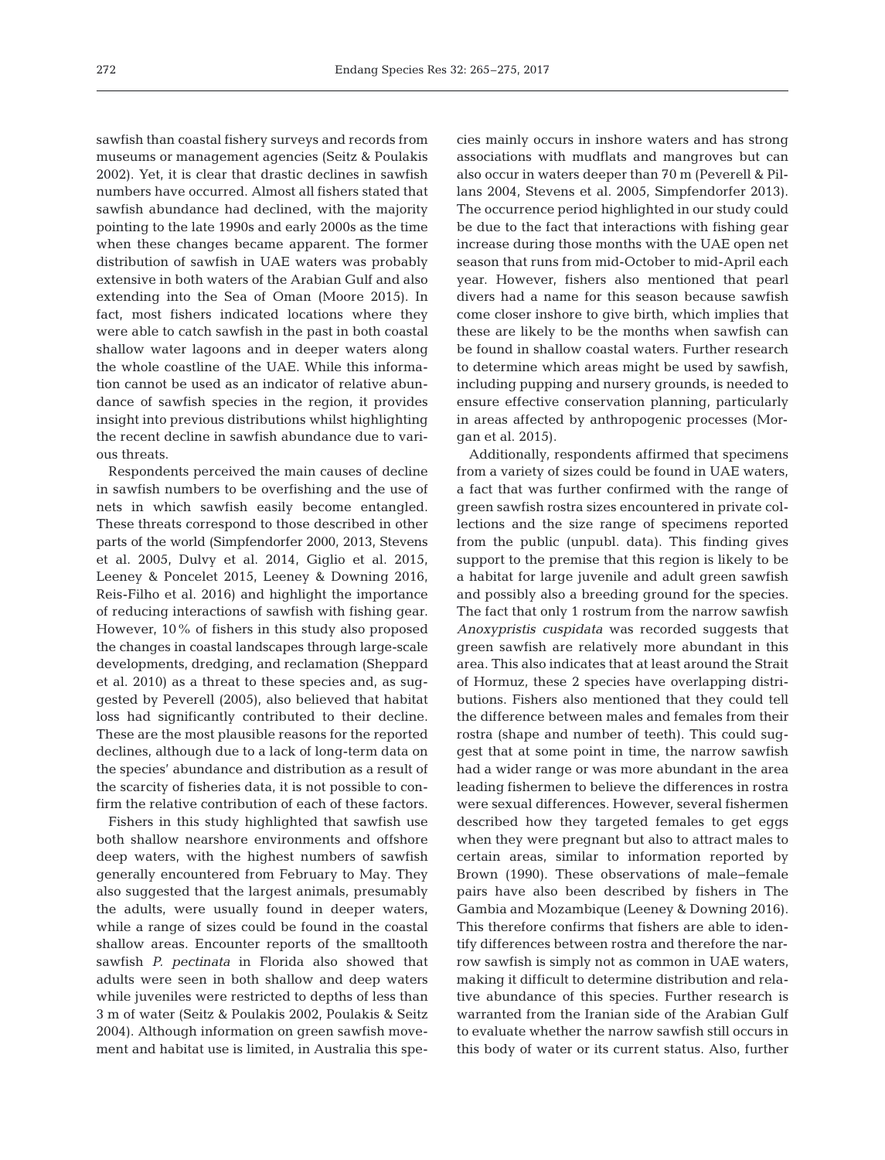sawfish than coastal fishery surveys and records from museums or management agencies (Seitz & Poulakis 2002). Yet, it is clear that drastic declines in sawfish numbers have occurred. Almost all fishers stated that sawfish abundance had declined, with the majority pointing to the late 1990s and early 2000s as the time when these changes became apparent. The former distribution of sawfish in UAE waters was probably extensive in both waters of the Arabian Gulf and also extending into the Sea of Oman (Moore 2015). In fact, most fishers indicated locations where they were able to catch sawfish in the past in both coastal shallow water lagoons and in deeper waters along the whole coastline of the UAE. While this information cannot be used as an indicator of relative abundance of sawfish species in the region, it provides insight into previous distributions whilst highlighting the recent decline in sawfish abundance due to various threats.

Respondents perceived the main causes of decline in sawfish numbers to be overfishing and the use of nets in which sawfish easily become entangled. These threats correspond to those described in other parts of the world (Simpfendorfer 2000, 2013, Stevens et al. 2005, Dulvy et al. 2014, Giglio et al. 2015, Leeney & Poncelet 2015, Leeney & Downing 2016, Reis-Filho et al. 2016) and highlight the importance of reducing interactions of sawfish with fishing gear. However, 10% of fishers in this study also proposed the changes in coastal landscapes through large-scale developments, dredging, and reclamation (Sheppard et al. 2010) as a threat to these species and, as suggested by Peverell (2005), also believed that habitat loss had significantly contributed to their decline. These are the most plausible reasons for the reported declines, although due to a lack of long-term data on the species' abundance and distribution as a result of the scarcity of fisheries data, it is not possible to confirm the relative contribution of each of these factors.

Fishers in this study highlighted that sawfish use both shallow nearshore environments and offshore deep waters, with the highest numbers of sawfish generally encountered from February to May. They also suggested that the largest animals, presumably the adults, were usually found in deeper waters, while a range of sizes could be found in the coastal shallow areas. Encounter reports of the smalltooth sawfish *P. pectinata* in Florida also showed that adults were seen in both shallow and deep waters while juveniles were restricted to depths of less than 3 m of water (Seitz & Poulakis 2002, Poulakis & Seitz 2004). Although information on green sawfish movement and habitat use is limited, in Australia this species mainly occurs in inshore waters and has strong associations with mudflats and mangroves but can also occur in waters deeper than 70 m (Peverell & Pillans 2004, Stevens et al. 2005, Simpfendorfer 2013). The occurrence period highlighted in our study could be due to the fact that interactions with fishing gear increase during those months with the UAE open net season that runs from mid-October to mid-April each year. However, fishers also mentioned that pearl divers had a name for this season because sawfish come closer inshore to give birth, which implies that these are likely to be the months when sawfish can be found in shallow coastal waters. Further research to determine which areas might be used by sawfish, including pupping and nursery grounds, is needed to ensure effective conservation planning, particularly in areas affected by anthropogenic processes (Morgan et al. 2015).

Additionally, respondents affirmed that specimens from a variety of sizes could be found in UAE waters, a fact that was further confirmed with the range of green sawfish rostra sizes encountered in private collections and the size range of specimens reported from the public (unpubl. data). This finding gives support to the premise that this region is likely to be a habitat for large juvenile and adult green sawfish and possibly also a breeding ground for the species. The fact that only 1 rostrum from the narrow sawfish *Anoxypristis cuspidata* was recorded suggests that green sawfish are relatively more abundant in this area. This also indicates that at least around the Strait of Hormuz, these 2 species have overlapping distributions. Fishers also mentioned that they could tell the difference between males and females from their rostra (shape and number of teeth). This could suggest that at some point in time, the narrow sawfish had a wider range or was more abundant in the area leading fishermen to believe the differences in rostra were sexual differences. However, several fishermen described how they targeted females to get eggs when they were pregnant but also to attract males to certain areas, similar to information reported by Brown (1990). These observations of male−female pairs have also been described by fishers in The Gambia and Mozambique (Leeney & Downing 2016). This therefore confirms that fishers are able to identify differences between rostra and therefore the narrow sawfish is simply not as common in UAE waters, making it difficult to determine distribution and relative abundance of this species. Further research is warranted from the Iranian side of the Arabian Gulf to evaluate whether the narrow sawfish still occurs in this body of water or its current status. Also, further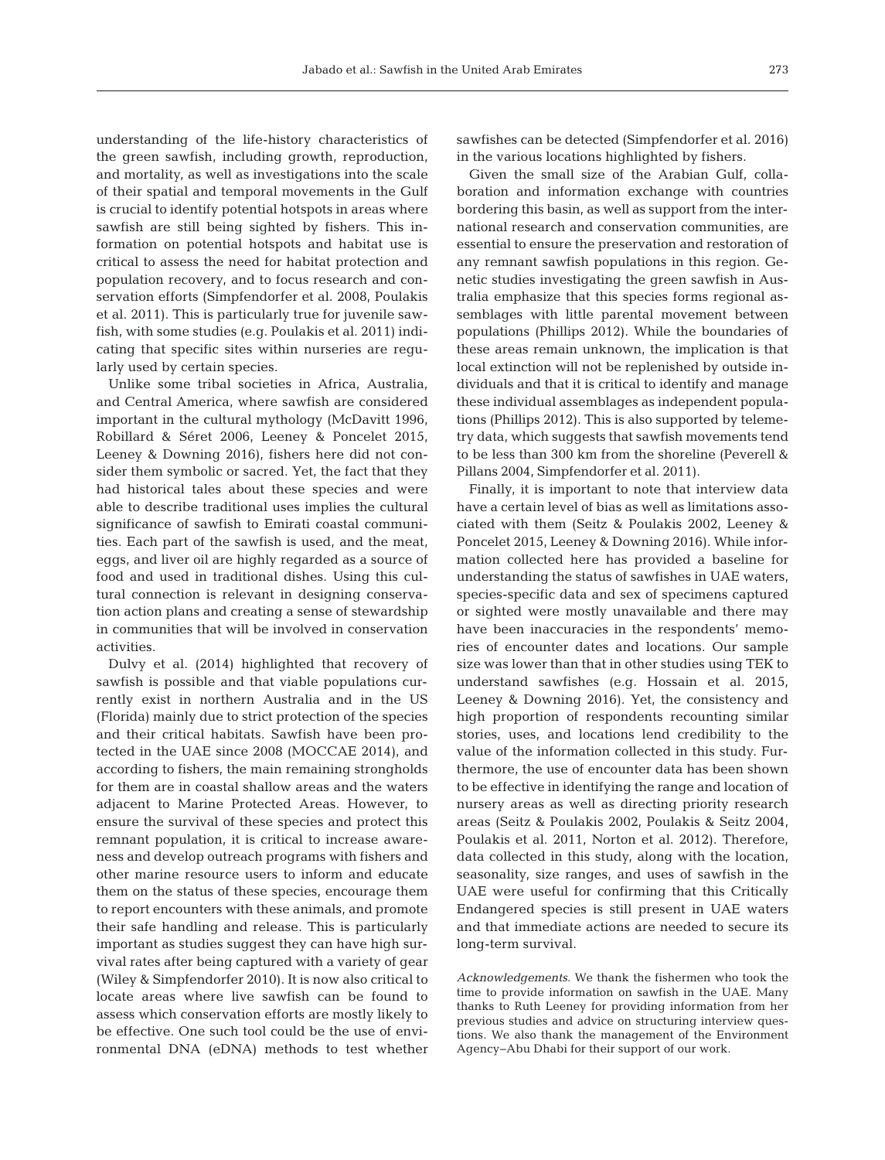understanding of the life-history characteristics of the green sawfish, including growth, reproduction, and mortality, as well as investigations into the scale of their spatial and temporal movements in the Gulf is crucial to identify potential hotspots in areas where sawfish are still being sighted by fishers. This information on potential hotspots and habitat use is critical to assess the need for habitat protection and population recovery, and to focus research and conservation efforts (Simpfendorfer et al. 2008, Poulakis et al. 2011). This is particularly true for juvenile sawfish, with some studies (e.g. Poulakis et al. 2011) indicating that specific sites within nurseries are regularly used by certain species.

Unlike some tribal societies in Africa, Australia, and Central America, where sawfish are considered important in the cultural mythology (McDavitt 1996, Robillard & Séret 2006, Leeney & Poncelet 2015, Leeney & Downing 2016), fishers here did not consider them symbolic or sacred. Yet, the fact that they had historical tales about these species and were able to describe traditional uses implies the cultural significance of sawfish to Emirati coastal communities. Each part of the sawfish is used, and the meat, eggs, and liver oil are highly regarded as a source of food and used in traditional dishes. Using this cultural connection is relevant in designing conservation action plans and creating a sense of stewardship in communities that will be involved in conservation activities.

Dulvy et al. (2014) highlighted that recovery of saw fish is possible and that viable populations currently exist in northern Australia and in the US (Florida) mainly due to strict protection of the species and their critical habitats. Sawfish have been protected in the UAE since 2008 (MOCCAE 2014), and according to fishers, the main remaining strongholds for them are in coastal shallow areas and the waters adjacent to Marine Protected Areas. However, to ensure the survival of these species and protect this remnant population, it is critical to increase awareness and develop outreach programs with fishers and other marine resource users to inform and educate them on the status of these species, encourage them to report encounters with these animals, and promote their safe handling and release. This is particularly important as studies suggest they can have high survival rates after being captured with a variety of gear (Wiley & Simpfendorfer 2010). It is now also critical to locate areas where live sawfish can be found to assess which conservation efforts are mostly likely to be effective. One such tool could be the use of environmental DNA (eDNA) methods to test whether

sawfishes can be detected (Simpfendorfer et al. 2016) in the various locations highlighted by fishers.

Given the small size of the Arabian Gulf, collaboration and information exchange with countries bordering this basin, as well as support from the international research and conservation communities, are essential to ensure the preservation and restoration of any remnant sawfish populations in this region. Genetic studies investigating the green sawfish in Australia emphasize that this species forms regional assemblages with little parental movement between populations (Phillips 2012). While the boundaries of these areas remain unknown, the implication is that local extinction will not be replenished by outside individuals and that it is critical to identify and manage these individual assemblages as independent populations (Phillips 2012). This is also supported by telemetry data, which suggests that sawfish movements tend to be less than 300 km from the shoreline (Peverell & Pillans 2004, Simpfendorfer et al. 2011).

Finally, it is important to note that interview data have a certain level of bias as well as limitations associated with them (Seitz & Poulakis 2002, Leeney & Poncelet 2015, Leeney & Downing 2016). While information collected here has provided a baseline for understanding the status of sawfishes in UAE waters, species-specific data and sex of specimens captured or sighted were mostly unavailable and there may have been inaccuracies in the respondents' memories of encounter dates and locations. Our sample size was lower than that in other studies using TEK to understand sawfishes (e.g. Hossain et al. 2015, Leeney & Downing 2016). Yet, the consistency and high proportion of respondents recounting similar stories, uses, and locations lend credibility to the value of the information collected in this study. Furthermore, the use of encounter data has been shown to be effective in identifying the range and location of nursery areas as well as directing priority research areas (Seitz & Poulakis 2002, Poulakis & Seitz 2004, Poulakis et al. 2011, Norton et al. 2012). Therefore, data collected in this study, along with the location, seasonality, size ranges, and uses of sawfish in the UAE were useful for confirming that this Critically Endangered species is still present in UAE waters and that immediate actions are needed to secure its long-term survival.

*Acknowledgements*. We thank the fishermen who took the time to provide information on sawfish in the UAE. Many thanks to Ruth Leeney for providing information from her previous studies and advice on structuring interview questions. We also thank the management of the Environment Agency−Abu Dhabi for their support of our work.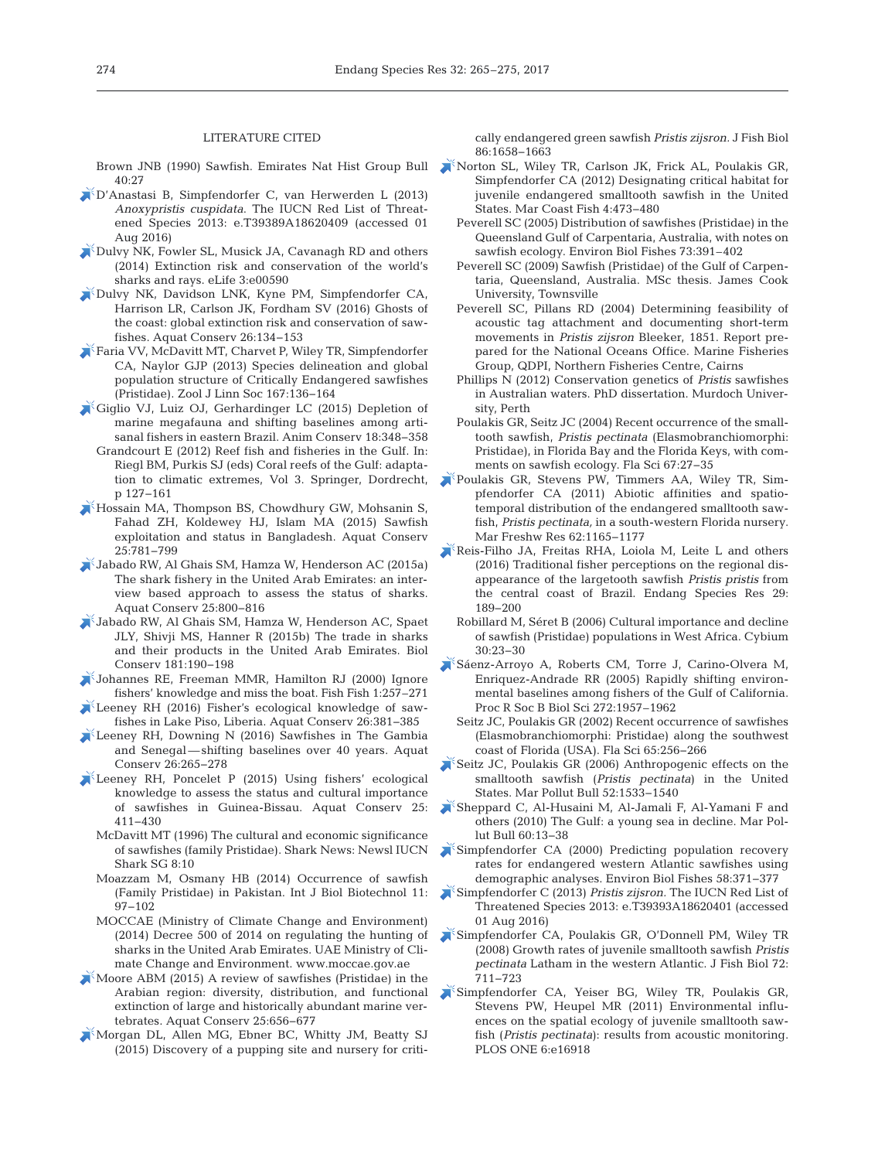#### LITERATURE CITED

 $40:27$ 

- [D'Anastasi B, Simpfendorfer C, van Herwerden L \(2013\)](https://doi.org/10.2305/IUCN.UK.2013-1.RLTS.T39389A18620409.en) *Anoxypristis cuspidata*. The IUCN Red List of Threatened Species 2013: e.T39389A18620409 (accessed 01 Aug 2016)
- [Dulvy NK, Fowler SL, Musick JA, Cavanagh RD and others](https://doi.org/10.7554/eLife.00590) (2014) Extinction risk and conservation of the world's sharks and rays. eLife 3:e00590
- [Dulvy NK, Davidson LNK, Kyne PM, Simpfendorfer CA,](https://doi.org/10.1002/aqc.2525) Harrison LR, Carlson JK, Fordham SV (2016) Ghosts of the coast:global extinction risk and conservation of sawfishes. Aquat Conserv 26: 134−153
- [Faria VV, McDavitt MT, Charvet P, Wiley TR, Simpfendorfer](https://doi.org/10.1111/j.1096-3642.2012.00872.x) CA, Naylor GJP (2013) Species delineation and global population structure of Critically Endangered sawfishes (Pristidae). Zool J Linn Soc 167: 136−164
- [Giglio VJ, Luiz OJ, Gerhardinger LC \(2015\) Depletion of](https://doi.org/10.1111/acv.12178) marine megafauna and shifting baselines among artisanal fishers in eastern Brazil. Anim Conserv 18:348-358
	- Grandcourt E (2012) Reef fish and fisheries in the Gulf. In: Riegl BM, Purkis SJ (eds) Coral reefs of the Gulf: adaptation to climatic extremes, Vol 3. Springer, Dordrecht, p 127−161
- [Hossain MA, Thompson BS, Chowdhury GW, Mohsanin S,](https://doi.org/10.1002/aqc.2466) Fahad ZH, Koldewey HJ, Islam MA (2015) Sawfish exploitation and status in Bangladesh. Aquat Conserv 25: 781−799
- [Jabado RW, Al Ghais SM, Hamza W, Henderson AC \(2015a\)](https://doi.org/10.1002/aqc.2477) The shark fishery in the United Arab Emirates: an interview based approach to assess the status of sharks. Aquat Conserv 25: 800−816
- [Jabado RW, Al Ghais SM, Hamza W, Henderson AC, Spaet](https://doi.org/10.1016/j.biocon.2014.10.032) JLY, Shivji MS, Hanner R (2015b) The trade in sharks and their products in the United Arab Emirates. Biol Conserv 181: 190−198
- [Johannes RE, Freeman MMR, Hamilton RJ \(2000\) Ignore](https://doi.org/10.1111/j.1467-2979.2000.00019.x) fishers' knowledge and miss the boat. Fish Fish 1:257-271
- [Leeney RH \(2016\) Fisher's ecological knowledge of saw](https://doi.org/10.1002/aqc.2542)fishes in Lake Piso, Liberia. Aquat Conserv 26: 381−385
- [Leeney RH, Downing N \(2016\) Sawfishes in The Gambia](https://doi.org/10.1002/aqc.2545) and Senegal — shifting baselines over 40 years. Aquat Conserv 26:265-278
- [Leeney RH, Poncelet P \(2015\) Using fishers' ecological](https://doi.org/10.1002/aqc.2419) knowledge to assess the status and cultural importance of sawfishes in Guinea-Bissau. Aquat Conserv 25: 411−430
	- McDavitt MT (1996) The cultural and economic significance of sawfishes (family Pristidae). Shark News: Newsl IUCN Shark SG 8:10
	- Moazzam M, Osmany HB (2014) Occurrence of sawfish (Family Pristidae) in Pakistan. Int J Biol Biotechnol 11: 97−102
	- MOCCAE (Ministry of Climate Change and Environment) (2014) Decree 500 of 2014 on regulating the hunting of sharks in the United Arab Emirates. UAE Ministry of Climate Change and Environment. www. moccae.gov. ae
- $\triangle$  [Moore ABM \(2015\) A review of sawfishes \(Pristidae\) in the](https://doi.org/10.1002/aqc.2441) Arabian region: diversity, distribution, and functional extinction of large and historically abundant marine vertebrates. Aquat Conserv 25:656-677
- [Morgan DL, Allen MG, Ebner BC, Whitty JM, Beatty SJ](https://doi.org/10.1111/jfb.12668) (2015) Discovery of a pupping site and nursery for criti-

cally endangered green sawfish *Pristis zijsron.* J Fish Biol 86: 1658−1663

- Brown JNB (1990) Sawfish. Emirates Nat Hist Group Bull [Norton SL, Wiley TR, Carlson JK, Frick AL, Poulakis GR,](https://doi.org/10.1080/19425120.2012.676606) Simpfendorfer CA (2012) Designating critical habitat for juvenile endangered smalltooth sawfish in the United States. Mar Coast Fish 4: 473−480
	- Peverell SC (2005) Distribution of sawfishes (Pristidae) in the Queensland Gulf of Carpentaria, Australia, with notes on sawfish ecology. Environ Biol Fishes 73:391–402
	- Peverell SC (2009) Sawfish (Pristidae) of the Gulf of Carpentaria, Queensland, Australia. MSc thesis. James Cook University, Townsville
	- Peverell SC, Pillans RD (2004) Determining feasibility of acoustic tag attachment and documenting short-term movements in *Pristis zijsron* Bleeker, 1851. Report prepared for the National Oceans Office. Marine Fisheries Group, QDPI, Northern Fisheries Centre, Cairns
	- Phillips N (2012) Conservation genetics of *Pristis* sawfishes in Australian waters. PhD dissertation. Murdoch University, Perth
	- Poulakis GR, Seitz JC (2004) Recent occurrence of the smalltooth sawfish, *Pristis pectinata* (Elasmobranchiomorphi: Pristidae), in Florida Bay and the Florida Keys, with comments on sawfish ecology. Fla Sci 67:27-35
	- [Poulakis GR, Stevens PW, Timmers AA, Wiley TR, Sim](https://doi.org/10.1071/MF11008)  pfendorfer CA (2011) Abiotic affinities and spatiotemporal distribution of the endangered smalltooth sawfish, *Pristis pectinata,* in a south-western Florida nursery. Mar Freshw Res 62:1165-1177
	- [Reis-Filho JA, Freitas RHA, Loiola M, Leite L and others](https://doi.org/10.3354/esr00711) (2016) Traditional fisher perceptions on the regional disappearance of the largetooth sawfish *Pristis pristis* from the central coast of Brazil. Endang Species Res 29: 189−200
	- Robillard M, Séret B (2006) Cultural importance and decline of sawfish (Pristidae) populations in West Africa. Cybium 30: 23−30
	- [Sáenz-Arroyo A, Roberts CM, Torre J, Carino-Olvera M,](https://doi.org/10.1098/rspb.2005.3175) Enriquez-Andrade RR (2005) Rapidly shifting environmental baselines among fishers of the Gulf of California. Proc R Soc B Biol Sci 272:1957–1962
		- Seitz JC, Poulakis GR (2002) Recent occurrence of sawfishes (Elasmobranchiomorphi: Pristidae) along the southwest coast of Florida (USA). Fla Sci 65: 256−266
	- $\blacktriangleright$  [Seitz JC, Poulakis GR \(2006\) Anthropogenic effects on the](https://doi.org/10.1016/j.marpolbul.2006.07.016) smalltooth sawfish (*Pristis pectinata*) in the United States. Mar Pollut Bull 52: 1533−1540
	- [Sheppard C, Al-Husaini M, Al-Jamali F, Al-Yamani F and](https://doi.org/10.1016/j.marpolbul.2009.10.017) others (2010) The Gulf: a young sea in decline. Mar Pollut Bull 60:13-38
	- [Simpfendorfer CA \(2000\) Predicting population recovery](https://doi.org/10.1023/A%3A1007675111597) rates for endangered western Atlantic sawfishes using demographic analyses. Environ Biol Fishes 58:371-377
	- [Simpfendorfer C \(2013\)](https://doi.org/10.2305/IUCN.UK.2013-1.RLTS.T39393A18620401.en) *Pristis zijsron.* The IUCN Red List of Threatened Species 2013: e.T39393A18620401 (accessed 01 Aug 2016)
	- [Simpfendorfer CA, Poulakis GR, O'Donnell PM, Wiley TR](https://doi.org/10.1111/j.1095-8649.2007.01764.x) (2008) Growth rates of juvenile smalltooth sawfish *Pristis pectinata* Latham in the western Atlantic. J Fish Biol 72: 711−723
	- [Simpfendorfer CA, Yeiser BG, Wiley TR, Poulakis GR,](https://doi.org/10.1371/journal.pone.0016918) Stevens PW, Heupel MR (2011) Environmental influences on the spatial ecology of juvenile smalltooth sawfish (*Pristis pectinata*): results from acoustic monitoring. PLOS ONE 6:e16918